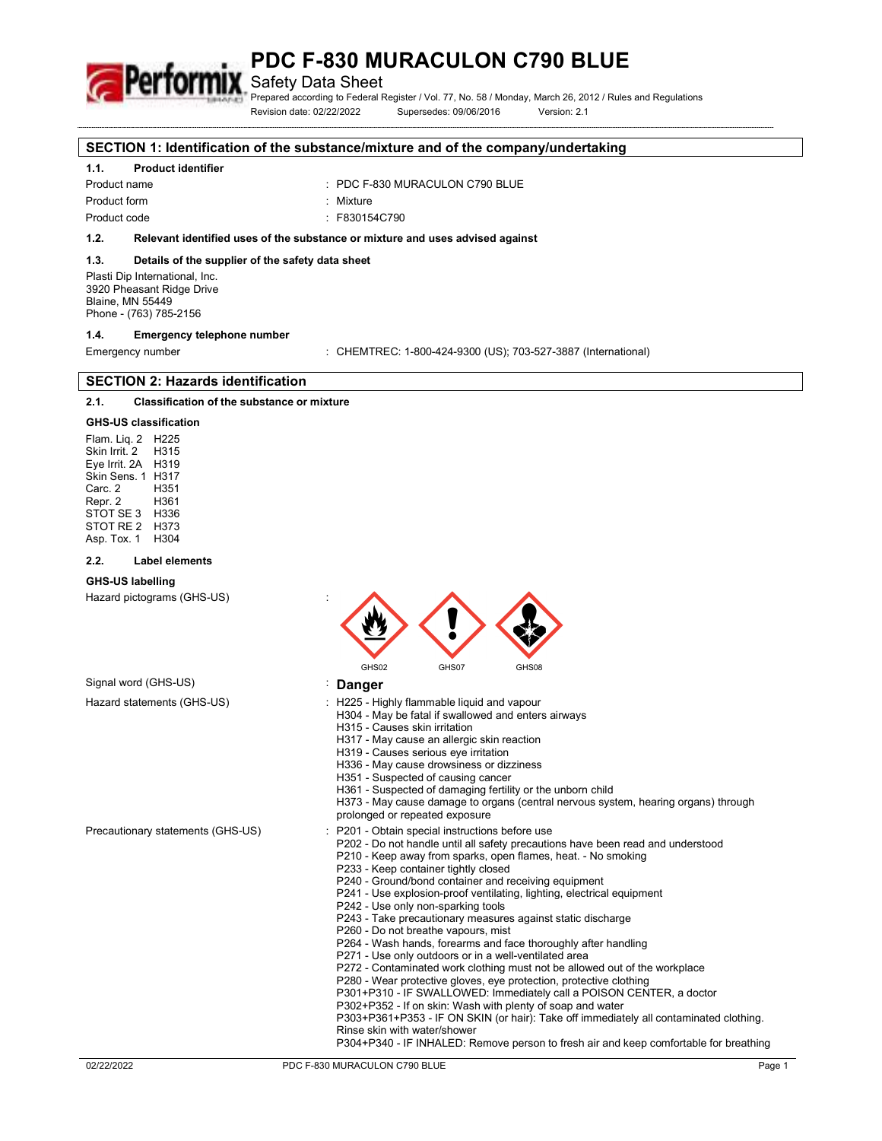Safety Data Sheet

Prepared according to Federal Register / Vol. 77, No. 58 / Monday, March 26, 2012 / Rules and Regulations Revision date: 02/22/2022 Supersedes: 09/06/2016 Version: 2.1

#### **SECTION 1: Identification of the substance/mixture and of the company/undertaking**

## **1.1. Product identifier**

#### Product name : PDC F-830 MURACULON C790 BLUE

Product form : Nixture

Product code : F830154C790

### **1.2. Relevant identified uses of the substance or mixture and uses advised against**

#### **1.3. Details of the supplier of the safety data sheet**

Plasti Dip International, Inc. 3920 Pheasant Ridge Drive Blaine, MN 55449 Phone - (763) 785-2156

#### **1.4. Emergency telephone number**

Emergency number : CHEMTREC: 1-800-424-9300 (US); 703-527-3887 (International)

## **SECTION 2: Hazards identification**

#### **2.1. Classification of the substance or mixture**

## **GHS-US classification**

Flam. Liq. 2 H225 Skin Irrit. 2 Eye Irrit. 2A H319 Skin Sens. 1 H317 Carc. 2 H351 Repr. 2 H361 STOT SE 3 STOT RE 2 H373 Asp. Tox. 1 H304

#### **2.2. Label elements**

#### **GHS-US labelling**

Hazard pictograms (GHS-US) :

| ٠<br>٠ |       |       |       |
|--------|-------|-------|-------|
|        | GHS02 | GHS07 | GHS08 |

#### Signal word (GHS-US) **in the set of the Signal word (GHS-US) in the Signal Signal Property**  $\blacksquare$

- Hazard statements (GHS-US)  $\qquad \qquad$ : H225 Highly flammable liquid and vapour
	- H304 May be fatal if swallowed and enters airways
	- H315 Causes skin irritation
	- H317 May cause an allergic skin reaction
	- H319 Causes serious eye irritation
	- H336 May cause drowsiness or dizziness
	- H351 Suspected of causing cancer
	- H361 Suspected of damaging fertility or the unborn child
	- H373 May cause damage to organs (central nervous system, hearing organs) through
	- prolonged or repeated exposure
- Precautionary statements (GHS-US) : P201 Obtain special instructions before use
	- P202 Do not handle until all safety precautions have been read and understood
	- P210 Keep away from sparks, open flames, heat. No smoking
	- P233 Keep container tightly closed
	- P240 Ground/bond container and receiving equipment
	- P241 Use explosion-proof ventilating, lighting, electrical equipment
	- P242 Use only non-sparking tools
	- P243 Take precautionary measures against static discharge
	- P260 Do not breathe vapours, mist
	- P264 Wash hands, forearms and face thoroughly after handling
	- P271 Use only outdoors or in a well-ventilated area
	- P272 Contaminated work clothing must not be allowed out of the workplace
	- P280 Wear protective gloves, eye protection, protective clothing
	- P301+P310 IF SWALLOWED: Immediately call a POISON CENTER, a doctor
	- P302+P352 If on skin: Wash with plenty of soap and water
	- P303+P361+P353 IF ON SKIN (or hair): Take off immediately all contaminated clothing. Rinse skin with water/shower

P304+P340 - IF INHALED: Remove person to fresh air and keep comfortable for breathing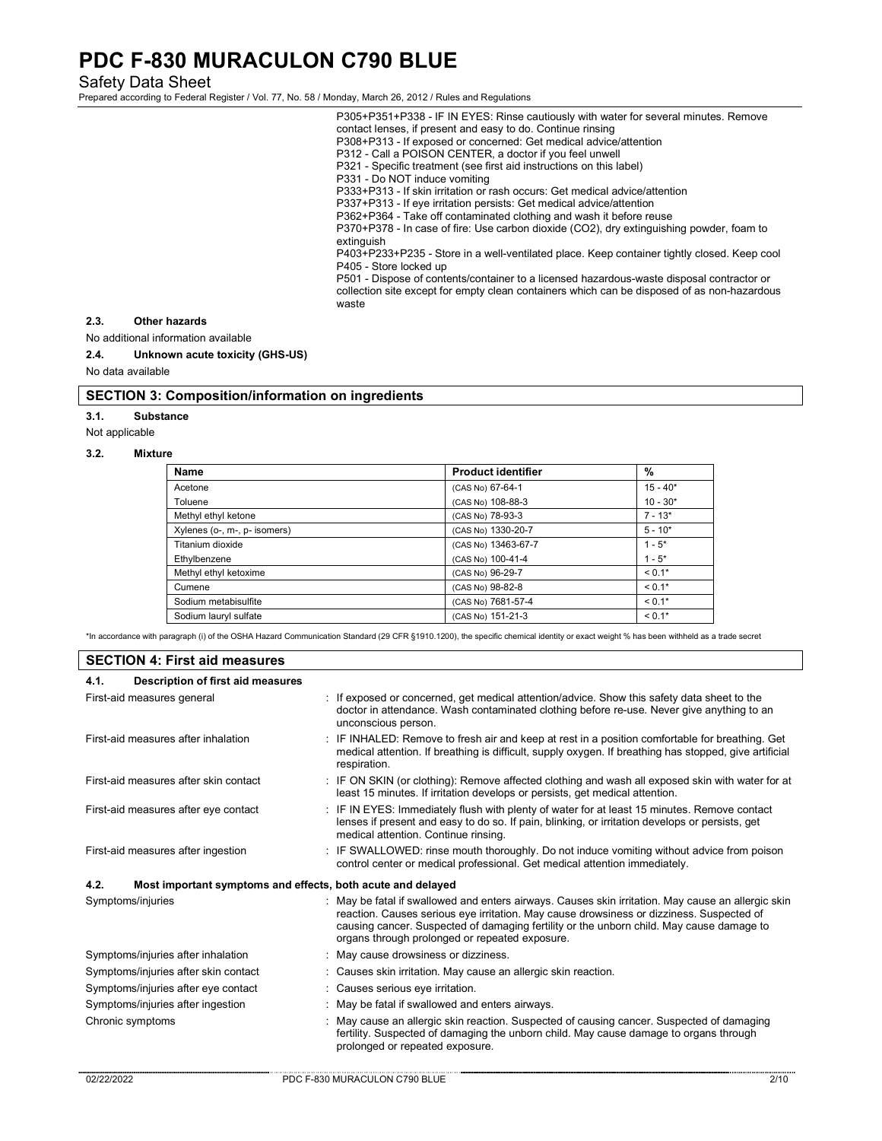Safety Data Sheet

Prepared according to Federal Register / Vol. 77, No. 58 / Monday, March 26, 2012 / Rules and Regulations

P305+P351+P338 - IF IN EYES: Rinse cautiously with water for several minutes. Remove contact lenses, if present and easy to do. Continue rinsing P308+P313 - If exposed or concerned: Get medical advice/attention P312 - Call a POISON CENTER, a doctor if you feel unwell P321 - Specific treatment (see first aid instructions on this label) P331 - Do NOT induce vomiting P333+P313 - If skin irritation or rash occurs: Get medical advice/attention P337+P313 - If eye irritation persists: Get medical advice/attention P362+P364 - Take off contaminated clothing and wash it before reuse P370+P378 - In case of fire: Use carbon dioxide (CO2), dry extinguishing powder, foam to extinguish P403+P233+P235 - Store in a well-ventilated place. Keep container tightly closed. Keep cool P405 - Store locked up

P501 - Dispose of contents/container to a licensed hazardous-waste disposal contractor or collection site except for empty clean containers which can be disposed of as non-hazardous waste

## **2.3. Other hazards**

No additional information available

**2.4. Unknown acute toxicity (GHS-US)** 

No data available

## **SECTION 3: Composition/information on ingredients**

**3.1. Substance** 

Not applicable

#### **3.2. Mixture**

| Name                         | <b>Product identifier</b> | %          |
|------------------------------|---------------------------|------------|
| Acetone                      | (CAS No) 67-64-1          | $15 - 40*$ |
| Toluene                      | (CAS No) 108-88-3         | $10 - 30*$ |
| Methyl ethyl ketone          | (CAS No) 78-93-3          | $7 - 13*$  |
| Xylenes (o-, m-, p- isomers) | (CAS No) 1330-20-7        | $5 - 10*$  |
| Titanium dioxide             | (CAS No) 13463-67-7       | $1 - 5^*$  |
| Ethylbenzene                 | (CAS No) 100-41-4         | $1 - 5^*$  |
| Methyl ethyl ketoxime        | (CAS No) 96-29-7          | $< 0.1*$   |
| Cumene                       | (CAS No) 98-82-8          | $< 0.1*$   |
| Sodium metabisulfite         | (CAS No) 7681-57-4        | $< 0.1*$   |
| Sodium lauryl sulfate        | (CAS No) 151-21-3         | $< 0.1*$   |

\*In accordance with paragraph (i) of the OSHA Hazard Communication Standard (29 CFR §1910.1200), the specific chemical identity or exact weight % has been withheld as a trade secret

## **SECTION 4: First aid measures**

| 4.1.              | Description of first aid measures                           |                                                                                                                                                                                                                                                                                                                                            |
|-------------------|-------------------------------------------------------------|--------------------------------------------------------------------------------------------------------------------------------------------------------------------------------------------------------------------------------------------------------------------------------------------------------------------------------------------|
|                   | First-aid measures general                                  | : If exposed or concerned, get medical attention/advice. Show this safety data sheet to the<br>doctor in attendance. Wash contaminated clothing before re-use. Never give anything to an<br>unconscious person.                                                                                                                            |
|                   | First-aid measures after inhalation                         | : IF INHALED: Remove to fresh air and keep at rest in a position comfortable for breathing. Get<br>medical attention. If breathing is difficult, supply oxygen. If breathing has stopped, give artificial<br>respiration.                                                                                                                  |
|                   | First-aid measures after skin contact                       | : IF ON SKIN (or clothing): Remove affected clothing and wash all exposed skin with water for at<br>least 15 minutes. If irritation develops or persists, get medical attention.                                                                                                                                                           |
|                   | First-aid measures after eye contact                        | IF IN EYES: Immediately flush with plenty of water for at least 15 minutes. Remove contact<br>lenses if present and easy to do so. If pain, blinking, or irritation develops or persists, get<br>medical attention. Continue rinsing.                                                                                                      |
|                   | First-aid measures after ingestion                          | IF SWALLOWED: rinse mouth thoroughly. Do not induce vomiting without advice from poison<br>control center or medical professional. Get medical attention immediately.                                                                                                                                                                      |
| 4.2.              | Most important symptoms and effects, both acute and delayed |                                                                                                                                                                                                                                                                                                                                            |
| Symptoms/injuries |                                                             | May be fatal if swallowed and enters airways. Causes skin irritation. May cause an allergic skin<br>reaction. Causes serious eye irritation. May cause drowsiness or dizziness. Suspected of<br>causing cancer. Suspected of damaging fertility or the unborn child. May cause damage to<br>organs through prolonged or repeated exposure. |
|                   | Symptoms/injuries after inhalation                          | May cause drowsiness or dizziness.                                                                                                                                                                                                                                                                                                         |
|                   | Symptoms/injuries after skin contact                        | : Causes skin irritation. May cause an allergic skin reaction.                                                                                                                                                                                                                                                                             |
|                   | Symptoms/injuries after eye contact                         | : Causes serious eye irritation.                                                                                                                                                                                                                                                                                                           |
|                   | Symptoms/injuries after ingestion                           | May be fatal if swallowed and enters airways.                                                                                                                                                                                                                                                                                              |
| Chronic symptoms  |                                                             | May cause an allergic skin reaction. Suspected of causing cancer. Suspected of damaging<br>fertility. Suspected of damaging the unborn child. May cause damage to organs through<br>prolonged or repeated exposure.                                                                                                                        |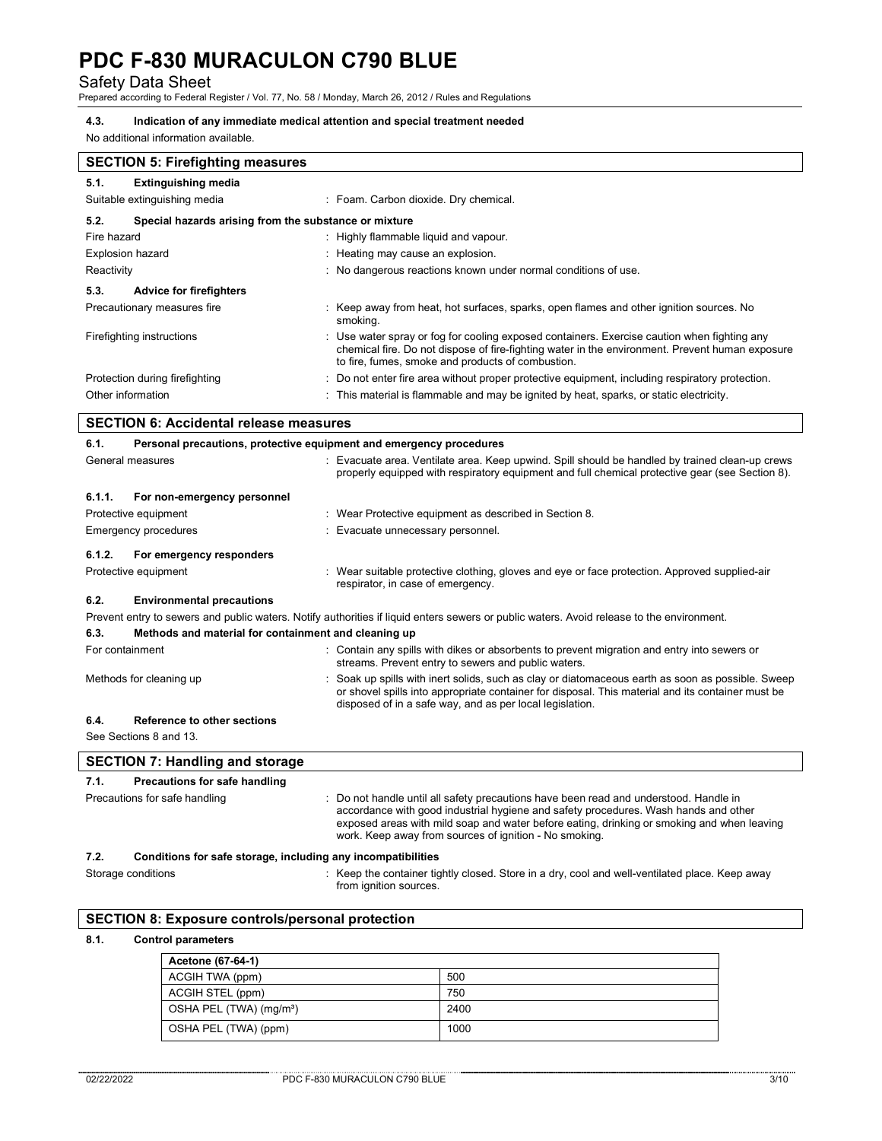Safety Data Sheet Prepared according to Federal Register / Vol. 77, No. 58 / Monday, March 26, 2012 / Rules and Regulations

### **4.3. Indication of any immediate medical attention and special treatment needed**

No additional information available.

| <b>SECTION 5: Firefighting measures</b>                            |                                                                                                                                                                                                                                                     |  |
|--------------------------------------------------------------------|-----------------------------------------------------------------------------------------------------------------------------------------------------------------------------------------------------------------------------------------------------|--|
| <b>Extinguishing media</b><br>5.1.<br>Suitable extinguishing media | : Foam. Carbon dioxide. Dry chemical.                                                                                                                                                                                                               |  |
| Special hazards arising from the substance or mixture<br>5.2.      |                                                                                                                                                                                                                                                     |  |
| Fire hazard                                                        | : Highly flammable liquid and vapour.                                                                                                                                                                                                               |  |
| <b>Explosion hazard</b>                                            | Heating may cause an explosion.                                                                                                                                                                                                                     |  |
| Reactivity                                                         | : No dangerous reactions known under normal conditions of use.                                                                                                                                                                                      |  |
| 5.3.<br><b>Advice for firefighters</b>                             |                                                                                                                                                                                                                                                     |  |
| Precautionary measures fire                                        | : Keep away from heat, hot surfaces, sparks, open flames and other ignition sources. No<br>smoking.                                                                                                                                                 |  |
| Firefighting instructions                                          | : Use water spray or fog for cooling exposed containers. Exercise caution when fighting any<br>chemical fire. Do not dispose of fire-fighting water in the environment. Prevent human exposure<br>to fire, fumes, smoke and products of combustion. |  |
| Protection during firefighting                                     | : Do not enter fire area without proper protective equipment, including respiratory protection.                                                                                                                                                     |  |
| Other information                                                  | : This material is flammable and may be ignited by heat, sparks, or static electricity.                                                                                                                                                             |  |

# **SECTION 6: Accidental release measures**

| 6.1.             | Personal precautions, protective equipment and emergency procedures |                                                                                                                                                                                                                                                                                                                                    |  |
|------------------|---------------------------------------------------------------------|------------------------------------------------------------------------------------------------------------------------------------------------------------------------------------------------------------------------------------------------------------------------------------------------------------------------------------|--|
| General measures |                                                                     | : Evacuate area. Ventilate area. Keep upwind. Spill should be handled by trained clean-up crews<br>properly equipped with respiratory equipment and full chemical protective gear (see Section 8).                                                                                                                                 |  |
| 6.1.1.           | For non-emergency personnel                                         |                                                                                                                                                                                                                                                                                                                                    |  |
|                  | Protective equipment                                                | : Wear Protective equipment as described in Section 8.                                                                                                                                                                                                                                                                             |  |
|                  | <b>Emergency procedures</b>                                         | : Evacuate unnecessary personnel.                                                                                                                                                                                                                                                                                                  |  |
| 6.1.2.           | For emergency responders                                            |                                                                                                                                                                                                                                                                                                                                    |  |
|                  | Protective equipment                                                | : Wear suitable protective clothing, gloves and eye or face protection. Approved supplied-air<br>respirator, in case of emergency.                                                                                                                                                                                                 |  |
| 6.2.             | <b>Environmental precautions</b>                                    |                                                                                                                                                                                                                                                                                                                                    |  |
|                  |                                                                     | Prevent entry to sewers and public waters. Notify authorities if liquid enters sewers or public waters. Avoid release to the environment.                                                                                                                                                                                          |  |
| 6.3.             | Methods and material for containment and cleaning up                |                                                                                                                                                                                                                                                                                                                                    |  |
| For containment  |                                                                     | : Contain any spills with dikes or absorbents to prevent migration and entry into sewers or<br>streams. Prevent entry to sewers and public waters.                                                                                                                                                                                 |  |
|                  | Methods for cleaning up                                             | : Soak up spills with inert solids, such as clay or diatomaceous earth as soon as possible. Sweep<br>or shovel spills into appropriate container for disposal. This material and its container must be<br>disposed of in a safe way, and as per local legislation.                                                                 |  |
| 6.4.             | Reference to other sections                                         |                                                                                                                                                                                                                                                                                                                                    |  |
|                  | See Sections 8 and 13.                                              |                                                                                                                                                                                                                                                                                                                                    |  |
|                  | <b>SECTION 7: Handling and storage</b>                              |                                                                                                                                                                                                                                                                                                                                    |  |
| 7.1.             | Precautions for safe handling                                       |                                                                                                                                                                                                                                                                                                                                    |  |
|                  | Precautions for safe handling                                       | Do not handle until all safety precautions have been read and understood. Handle in<br>accordance with good industrial hygiene and safety procedures. Wash hands and other<br>exposed areas with mild soap and water before eating, drinking or smoking and when leaving<br>work. Keep away from sources of ignition - No smoking. |  |
| 7.2.             | Conditions for safe storage, including any incompatibilities        |                                                                                                                                                                                                                                                                                                                                    |  |
|                  | Storage conditions                                                  | : Keep the container tightly closed. Store in a dry, cool and well-ventilated place. Keep away<br>from ignition sources.                                                                                                                                                                                                           |  |

# **SECTION 8: Exposure controls/personal protection**

## **8.1. Control parameters**

| Acetone (67-64-1)                   |      |
|-------------------------------------|------|
| ACGIH TWA (ppm)                     | 500  |
| ACGIH STEL (ppm)                    | 750  |
| OSHA PEL (TWA) (mg/m <sup>3</sup> ) | 2400 |
| OSHA PEL (TWA) (ppm)                | 1000 |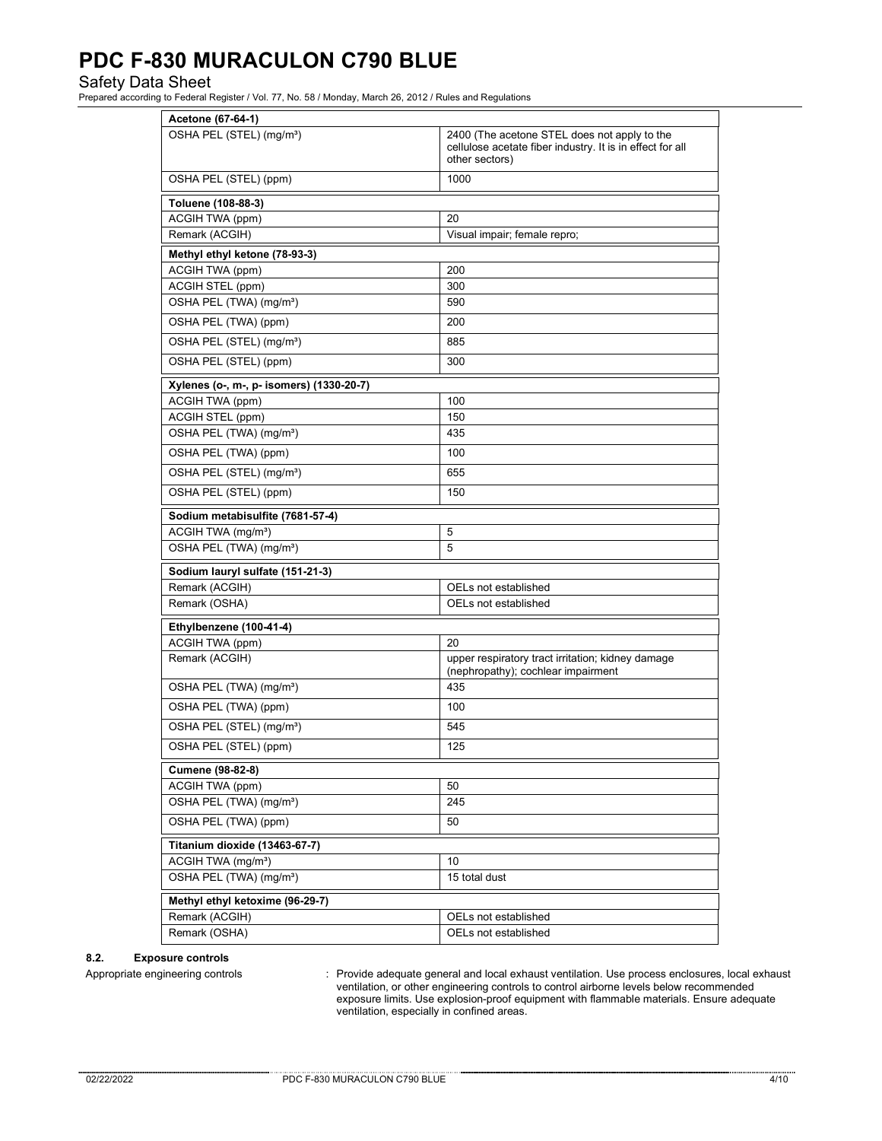Safety Data Sheet Prepared according to Federal Register / Vol. 77, No. 58 / Monday, March 26, 2012 / Rules and Regulations

| Acetone (67-64-1)                        |                                                                                                                             |  |  |
|------------------------------------------|-----------------------------------------------------------------------------------------------------------------------------|--|--|
| OSHA PEL (STEL) (mg/m <sup>3</sup> )     | 2400 (The acetone STEL does not apply to the<br>cellulose acetate fiber industry. It is in effect for all<br>other sectors) |  |  |
| OSHA PEL (STEL) (ppm)                    | 1000                                                                                                                        |  |  |
| Toluene (108-88-3)                       |                                                                                                                             |  |  |
| ACGIH TWA (ppm)                          | 20                                                                                                                          |  |  |
| Remark (ACGIH)                           | Visual impair; female repro;                                                                                                |  |  |
| Methyl ethyl ketone (78-93-3)            |                                                                                                                             |  |  |
| ACGIH TWA (ppm)                          | 200                                                                                                                         |  |  |
| ACGIH STEL (ppm)                         | 300                                                                                                                         |  |  |
| OSHA PEL (TWA) (mg/m <sup>3</sup> )      | 590                                                                                                                         |  |  |
| OSHA PEL (TWA) (ppm)                     | 200                                                                                                                         |  |  |
| OSHA PEL (STEL) (mg/m <sup>3</sup> )     | 885                                                                                                                         |  |  |
| OSHA PEL (STEL) (ppm)                    | 300                                                                                                                         |  |  |
| Xylenes (o-, m-, p- isomers) (1330-20-7) |                                                                                                                             |  |  |
| ACGIH TWA (ppm)                          | 100                                                                                                                         |  |  |
| <b>ACGIH STEL (ppm)</b>                  | 150                                                                                                                         |  |  |
| OSHA PEL (TWA) (mg/m <sup>3</sup> )      | 435                                                                                                                         |  |  |
| OSHA PEL (TWA) (ppm)                     | 100                                                                                                                         |  |  |
| OSHA PEL (STEL) (mg/m <sup>3</sup> )     | 655                                                                                                                         |  |  |
| OSHA PEL (STEL) (ppm)                    | 150                                                                                                                         |  |  |
| Sodium metabisulfite (7681-57-4)         |                                                                                                                             |  |  |
| ACGIH TWA (mg/m <sup>3</sup> )           | 5                                                                                                                           |  |  |
| OSHA PEL (TWA) (mg/m <sup>3</sup> )      | 5                                                                                                                           |  |  |
| Sodium lauryl sulfate (151-21-3)         |                                                                                                                             |  |  |
| Remark (ACGIH)                           | OELs not established                                                                                                        |  |  |
| Remark (OSHA)                            | OELs not established                                                                                                        |  |  |
| Ethylbenzene (100-41-4)                  |                                                                                                                             |  |  |
| ACGIH TWA (ppm)                          | 20                                                                                                                          |  |  |
| Remark (ACGIH)                           | upper respiratory tract irritation; kidney damage<br>(nephropathy); cochlear impairment                                     |  |  |
| OSHA PEL (TWA) (mg/m <sup>3</sup> )      | 435                                                                                                                         |  |  |
| OSHA PEL (TWA) (ppm)                     | 100                                                                                                                         |  |  |
| OSHA PEL (STEL) (mg/m <sup>3</sup> )     | 545                                                                                                                         |  |  |
| OSHA PEL (STEL) (ppm)                    | 125                                                                                                                         |  |  |
| Cumene (98-82-8)                         |                                                                                                                             |  |  |
| ACGIH TWA (ppm)                          | 50                                                                                                                          |  |  |
| OSHA PEL (TWA) (mg/m <sup>3</sup> )      | 245                                                                                                                         |  |  |
| OSHA PEL (TWA) (ppm)                     | 50                                                                                                                          |  |  |
| Titanium dioxide (13463-67-7)            |                                                                                                                             |  |  |
| ACGIH TWA (mg/m <sup>3</sup> )           | 10                                                                                                                          |  |  |
| OSHA PEL (TWA) (mg/m <sup>3</sup> )      | 15 total dust                                                                                                               |  |  |
| Methyl ethyl ketoxime (96-29-7)          |                                                                                                                             |  |  |
| Remark (ACGIH)                           | OELs not established                                                                                                        |  |  |
| Remark (OSHA)                            | OELs not established                                                                                                        |  |  |

### **8.2. Exposure controls**

Appropriate engineering controls : Provide adequate general and local exhaust ventilation. Use process enclosures, local exhaust ventilation, or other engineering controls to control airborne levels below recommended exposure limits. Use explosion-proof equipment with flammable materials. Ensure adequate ventilation, especially in confined areas.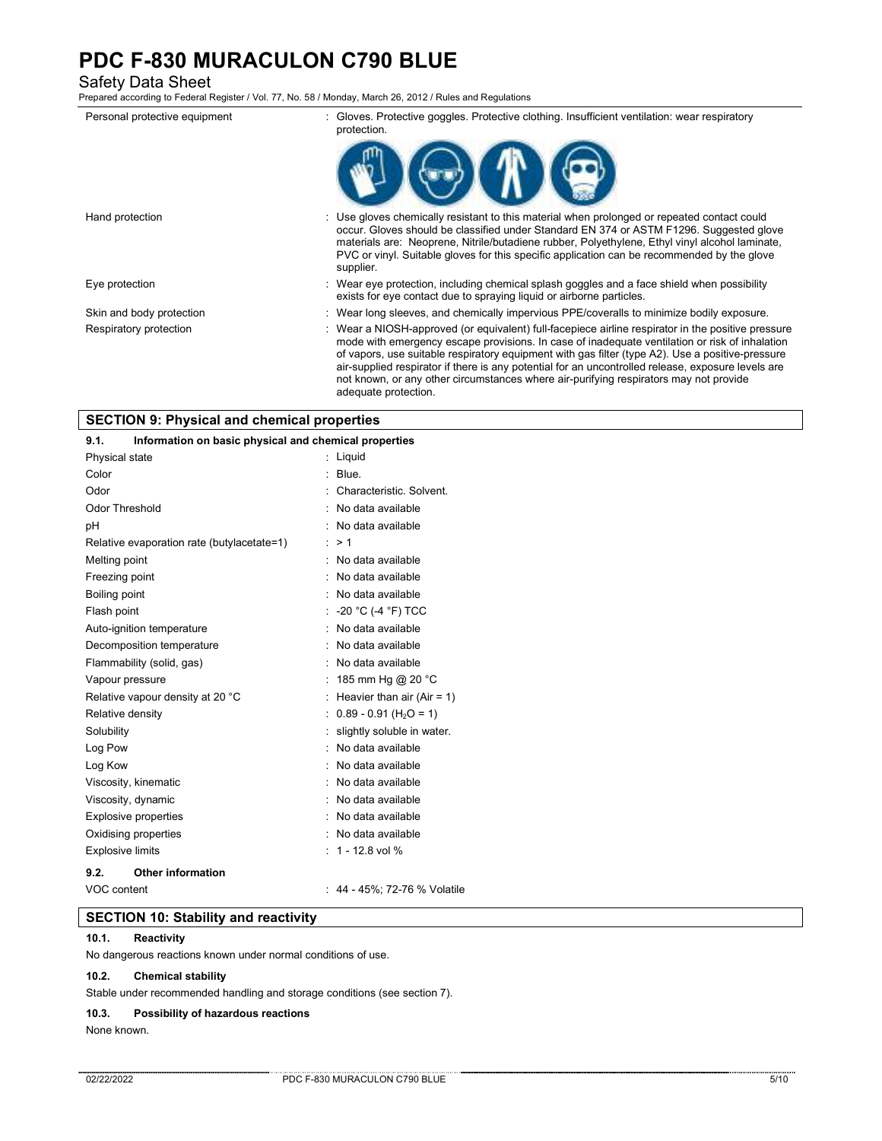Safety Data Sheet Prepared according to Federal Register / Vol. 77, No. 58 / Monday, March 26, 2012 / Rules and Regulations

| Personal protective equipment | : Gloves. Protective goggles. Protective clothing. Insufficient ventilation: wear respiratory<br>protection.                                                                                                                                                                                                                                                                                                                                                                                            |
|-------------------------------|---------------------------------------------------------------------------------------------------------------------------------------------------------------------------------------------------------------------------------------------------------------------------------------------------------------------------------------------------------------------------------------------------------------------------------------------------------------------------------------------------------|
|                               |                                                                                                                                                                                                                                                                                                                                                                                                                                                                                                         |
| Hand protection               | : Use gloves chemically resistant to this material when prolonged or repeated contact could<br>occur. Gloves should be classified under Standard EN 374 or ASTM F1296. Suggested glove<br>materials are: Neoprene, Nitrile/butadiene rubber, Polyethylene, Ethyl vinyl alcohol laminate,<br>PVC or vinyl. Suitable gloves for this specific application can be recommended by the glove<br>supplier.                                                                                                    |
| Eye protection                | : Wear eye protection, including chemical splash goggles and a face shield when possibility<br>exists for eye contact due to spraying liquid or airborne particles.                                                                                                                                                                                                                                                                                                                                     |
| Skin and body protection      | : Wear long sleeves, and chemically impervious PPE/coveralls to minimize bodily exposure.                                                                                                                                                                                                                                                                                                                                                                                                               |
| Respiratory protection        | : Wear a NIOSH-approved (or equivalent) full-facepiece airline respirator in the positive pressure<br>mode with emergency escape provisions. In case of inadequate ventilation or risk of inhalation<br>of vapors, use suitable respiratory equipment with gas filter (type A2). Use a positive-pressure<br>air-supplied respirator if there is any potential for an uncontrolled release, exposure levels are<br>not known, or any other circumstances where air-purifying respirators may not provide |

adequate protection.

|  |  | <b>SECTION 9: Physical and chemical properties</b> |  |
|--|--|----------------------------------------------------|--|
|--|--|----------------------------------------------------|--|

| 9.1.<br>Information on basic physical and chemical properties |   |                                        |
|---------------------------------------------------------------|---|----------------------------------------|
| Physical state                                                |   | Liquid                                 |
| Color                                                         |   | Blue.                                  |
| Odor                                                          |   | Characteristic, Solvent.               |
| Odor Threshold                                                |   | No data available                      |
| рH                                                            |   | No data available                      |
| Relative evaporation rate (butylacetate=1)                    |   | >1                                     |
| Melting point                                                 | ۰ | No data available                      |
| Freezing point                                                |   | No data available                      |
| Boiling point                                                 |   | No data available                      |
| Flash point                                                   |   | : -20 °C (-4 °F) TCC                   |
| Auto-ignition temperature                                     | ٠ | No data available                      |
| Decomposition temperature                                     |   | No data available                      |
| Flammability (solid, gas)                                     |   | No data available                      |
| Vapour pressure                                               |   | 185 mm Hg @ 20 °C                      |
| Relative vapour density at 20 °C                              |   | Heavier than air (Air = 1)             |
| Relative density                                              |   | $: 0.89 - 0.91$ (H <sub>2</sub> O = 1) |
| Solubility                                                    |   | slightly soluble in water.             |
| Log Pow                                                       |   | : No data available                    |
| Log Kow                                                       |   | No data available                      |
| Viscosity, kinematic                                          |   | No data available                      |
| Viscosity, dynamic                                            |   | No data available                      |
| <b>Explosive properties</b>                                   |   | No data available                      |
| Oxidising properties                                          |   | : No data available                    |
| <b>Explosive limits</b>                                       |   | 1 - 12.8 vol %                         |
| 9.2.<br><b>Other information</b>                              |   |                                        |
| VOC content                                                   |   | : 44 - 45%; 72-76 % Volatile           |

# **SECTION 10: Stability and reactivity**

## **10.1. Reactivity**

No dangerous reactions known under normal conditions of use.

## **10.2. Chemical stability**

Stable under recommended handling and storage conditions (see section 7).

# **10.3. Possibility of hazardous reactions**

None known.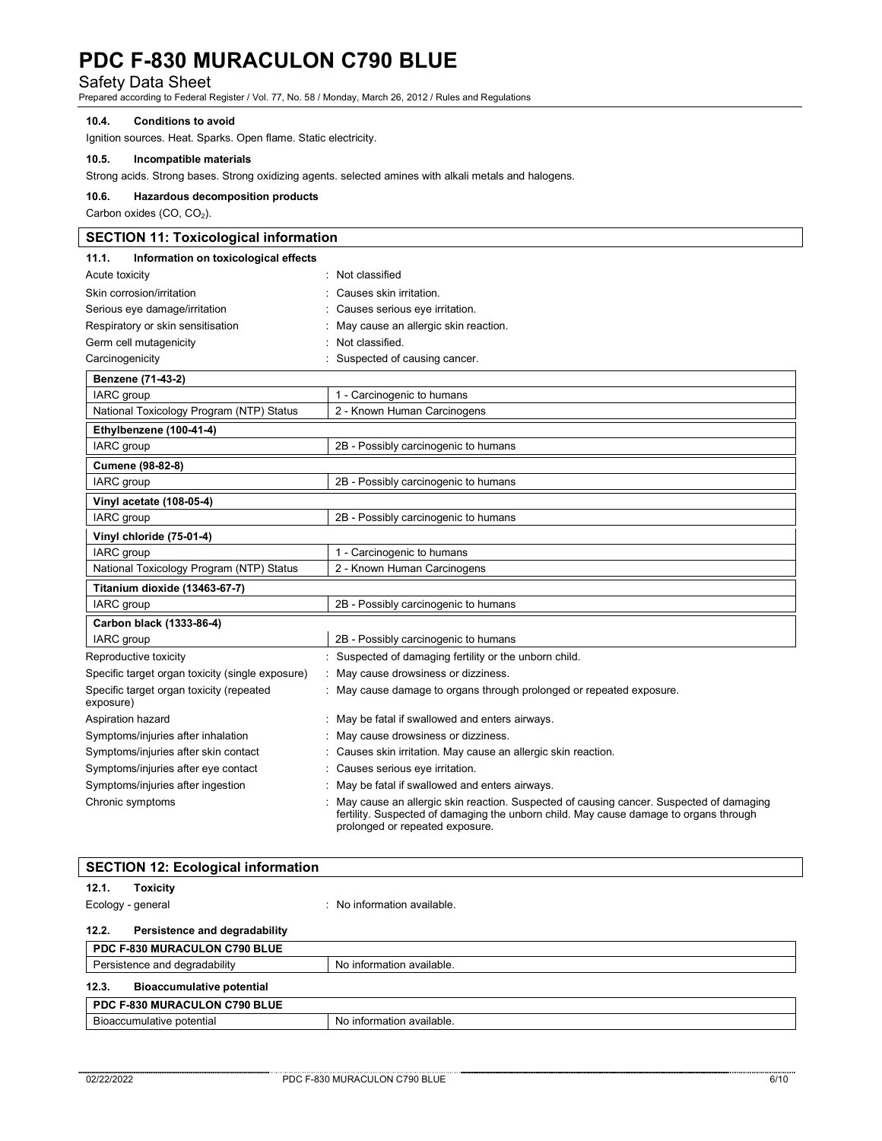Safety Data Sheet Prepared according to Federal Register / Vol. 77, No. 58 / Monday, March 26, 2012 / Rules and Regulations

### **10.4. Conditions to avoid**

Ignition sources. Heat. Sparks. Open flame. Static electricity.

### **10.5. Incompatible materials**

Strong acids. Strong bases. Strong oxidizing agents. selected amines with alkali metals and halogens.

#### **10.6. Hazardous decomposition products**

Carbon oxides (CO, CO<sub>2</sub>).

| <b>SECTION 11: Toxicological information</b>          |                                                                      |  |  |  |
|-------------------------------------------------------|----------------------------------------------------------------------|--|--|--|
| Information on toxicological effects<br>11.1.         |                                                                      |  |  |  |
| Acute toxicity                                        | Not classified                                                       |  |  |  |
| Skin corrosion/irritation                             | Causes skin irritation.                                              |  |  |  |
| Serious eye damage/irritation                         | Causes serious eye irritation.                                       |  |  |  |
| Respiratory or skin sensitisation                     | May cause an allergic skin reaction.                                 |  |  |  |
| Germ cell mutagenicity                                | Not classified.                                                      |  |  |  |
| Carcinogenicity                                       | Suspected of causing cancer.                                         |  |  |  |
| Benzene (71-43-2)                                     |                                                                      |  |  |  |
| <b>IARC</b> group                                     | 1 - Carcinogenic to humans                                           |  |  |  |
| National Toxicology Program (NTP) Status              | 2 - Known Human Carcinogens                                          |  |  |  |
| Ethylbenzene (100-41-4)                               |                                                                      |  |  |  |
| IARC group                                            | 2B - Possibly carcinogenic to humans                                 |  |  |  |
| Cumene (98-82-8)                                      |                                                                      |  |  |  |
| IARC group                                            | 2B - Possibly carcinogenic to humans                                 |  |  |  |
| Vinyl acetate (108-05-4)                              |                                                                      |  |  |  |
| IARC group                                            | 2B - Possibly carcinogenic to humans                                 |  |  |  |
| Vinyl chloride (75-01-4)                              |                                                                      |  |  |  |
| IARC group                                            | 1 - Carcinogenic to humans                                           |  |  |  |
| National Toxicology Program (NTP) Status              | 2 - Known Human Carcinogens                                          |  |  |  |
| Titanium dioxide (13463-67-7)                         |                                                                      |  |  |  |
| IARC group                                            | 2B - Possibly carcinogenic to humans                                 |  |  |  |
| Carbon black (1333-86-4)                              |                                                                      |  |  |  |
| IARC group                                            | 2B - Possibly carcinogenic to humans                                 |  |  |  |
| Reproductive toxicity                                 | Suspected of damaging fertility or the unborn child.                 |  |  |  |
| Specific target organ toxicity (single exposure)      | May cause drowsiness or dizziness.                                   |  |  |  |
| Specific target organ toxicity (repeated<br>exposure) | : May cause damage to organs through prolonged or repeated exposure. |  |  |  |
| Aspiration hazard                                     | May be fatal if swallowed and enters airways.                        |  |  |  |
| Symptoms/injuries after inhalation                    | May cause drowsiness or dizziness.                                   |  |  |  |
| Symptoms/injuries after skin contact                  | Causes skin irritation. May cause an allergic skin reaction.         |  |  |  |
| Symptoms/injuries after eye contact                   | Causes serious eye irritation.                                       |  |  |  |
| Symptoms/injuries after ingestion                     | May be fatal if swallowed and enters airways.                        |  |  |  |

Chronic symptoms : May cause an allergic skin reaction. Suspected of causing cancer. Suspected of damaging fertility. Suspected of damaging the unborn child. May cause damage to organs through prolonged or repeated exposure.

|                               | <b>SECTION 12: Ecological information</b> |                             |  |
|-------------------------------|-------------------------------------------|-----------------------------|--|
| 12.1.                         | <b>Toxicity</b>                           |                             |  |
| Ecology - general             |                                           | : No information available. |  |
| 12.2.                         | Persistence and degradability             |                             |  |
|                               | PDC F-830 MURACULON C790 BLUE             |                             |  |
| Persistence and degradability |                                           | No information available.   |  |
| 12.3.                         | <b>Bioaccumulative potential</b>          |                             |  |
| PDC F-830 MURACULON C790 BLUE |                                           |                             |  |
| Bioaccumulative potential     |                                           | No information available.   |  |
|                               |                                           |                             |  |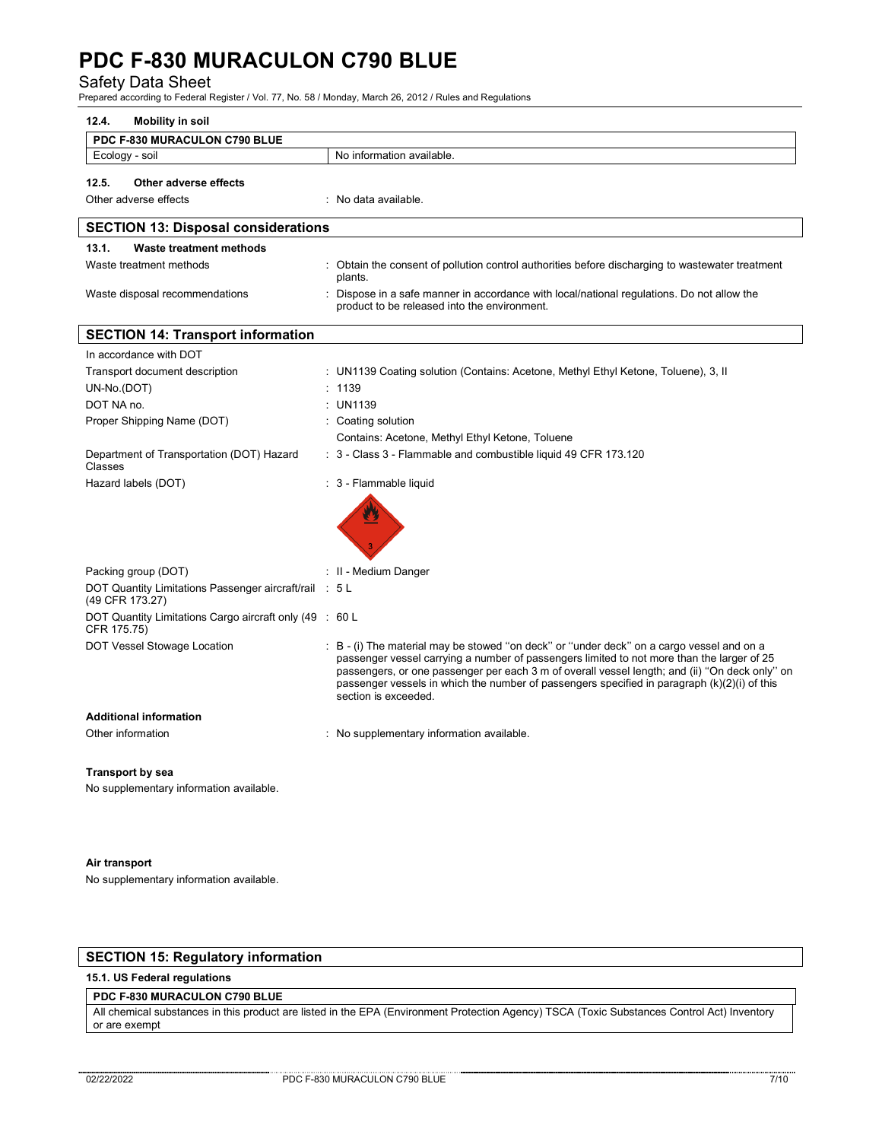Safety Data Sheet Prepared according to Federal Register / Vol. 77, No. 58 / Monday, March 26, 2012 / Rules and Regulations

| 12.4.<br><b>Mobility in soil</b>                                          |                                                                                                                                                                                                                                                                                                                                                                                                                     |
|---------------------------------------------------------------------------|---------------------------------------------------------------------------------------------------------------------------------------------------------------------------------------------------------------------------------------------------------------------------------------------------------------------------------------------------------------------------------------------------------------------|
| PDC F-830 MURACULON C790 BLUE                                             |                                                                                                                                                                                                                                                                                                                                                                                                                     |
| Ecology - soil                                                            | No information available.                                                                                                                                                                                                                                                                                                                                                                                           |
| 12.5.<br>Other adverse effects                                            |                                                                                                                                                                                                                                                                                                                                                                                                                     |
| Other adverse effects                                                     | : No data available.                                                                                                                                                                                                                                                                                                                                                                                                |
|                                                                           |                                                                                                                                                                                                                                                                                                                                                                                                                     |
| <b>SECTION 13: Disposal considerations</b>                                |                                                                                                                                                                                                                                                                                                                                                                                                                     |
| 13.1.<br><b>Waste treatment methods</b>                                   |                                                                                                                                                                                                                                                                                                                                                                                                                     |
| Waste treatment methods                                                   | : Obtain the consent of pollution control authorities before discharging to wastewater treatment<br>plants.                                                                                                                                                                                                                                                                                                         |
| Waste disposal recommendations                                            | : Dispose in a safe manner in accordance with local/national regulations. Do not allow the<br>product to be released into the environment.                                                                                                                                                                                                                                                                          |
| <b>SECTION 14: Transport information</b>                                  |                                                                                                                                                                                                                                                                                                                                                                                                                     |
| In accordance with DOT                                                    |                                                                                                                                                                                                                                                                                                                                                                                                                     |
| Transport document description                                            | : UN1139 Coating solution (Contains: Acetone, Methyl Ethyl Ketone, Toluene), 3, II                                                                                                                                                                                                                                                                                                                                  |
| UN-No.(DOT)                                                               | : 1139                                                                                                                                                                                                                                                                                                                                                                                                              |
| DOT NA no.                                                                | : UN1139                                                                                                                                                                                                                                                                                                                                                                                                            |
| Proper Shipping Name (DOT)                                                | : Coating solution                                                                                                                                                                                                                                                                                                                                                                                                  |
|                                                                           | Contains: Acetone, Methyl Ethyl Ketone, Toluene                                                                                                                                                                                                                                                                                                                                                                     |
| Department of Transportation (DOT) Hazard<br>Classes                      | : 3 - Class 3 - Flammable and combustible liquid 49 CFR 173.120                                                                                                                                                                                                                                                                                                                                                     |
| Hazard labels (DOT)                                                       | : 3 - Flammable liquid                                                                                                                                                                                                                                                                                                                                                                                              |
|                                                                           |                                                                                                                                                                                                                                                                                                                                                                                                                     |
| Packing group (DOT)                                                       | : II - Medium Danger                                                                                                                                                                                                                                                                                                                                                                                                |
| DOT Quantity Limitations Passenger aircraft/rail : 5 L<br>(49 CFR 173.27) |                                                                                                                                                                                                                                                                                                                                                                                                                     |
| DOT Quantity Limitations Cargo aircraft only (49 : 60 L<br>CFR 175.75)    |                                                                                                                                                                                                                                                                                                                                                                                                                     |
| DOT Vessel Stowage Location                                               | : B - (i) The material may be stowed "on deck" or "under deck" on a cargo vessel and on a<br>passenger vessel carrying a number of passengers limited to not more than the larger of 25<br>passengers, or one passenger per each 3 m of overall vessel length; and (ii) "On deck only" on<br>passenger vessels in which the number of passengers specified in paragraph $(k)(2)(i)$ of this<br>section is exceeded. |
| <b>Additional information</b>                                             |                                                                                                                                                                                                                                                                                                                                                                                                                     |
| Other information                                                         | : No supplementary information available.                                                                                                                                                                                                                                                                                                                                                                           |
| <b>Transport by sea</b>                                                   |                                                                                                                                                                                                                                                                                                                                                                                                                     |
| No supplementary information available.                                   |                                                                                                                                                                                                                                                                                                                                                                                                                     |

## **Air transport**

No supplementary information available.

# **SECTION 15: Regulatory information**

## **15.1. US Federal regulations**

# **PDC F-830 MURACULON C790 BLUE**

All chemical substances in this product are listed in the EPA (Environment Protection Agency) TSCA (Toxic Substances Control Act) Inventory or are exempt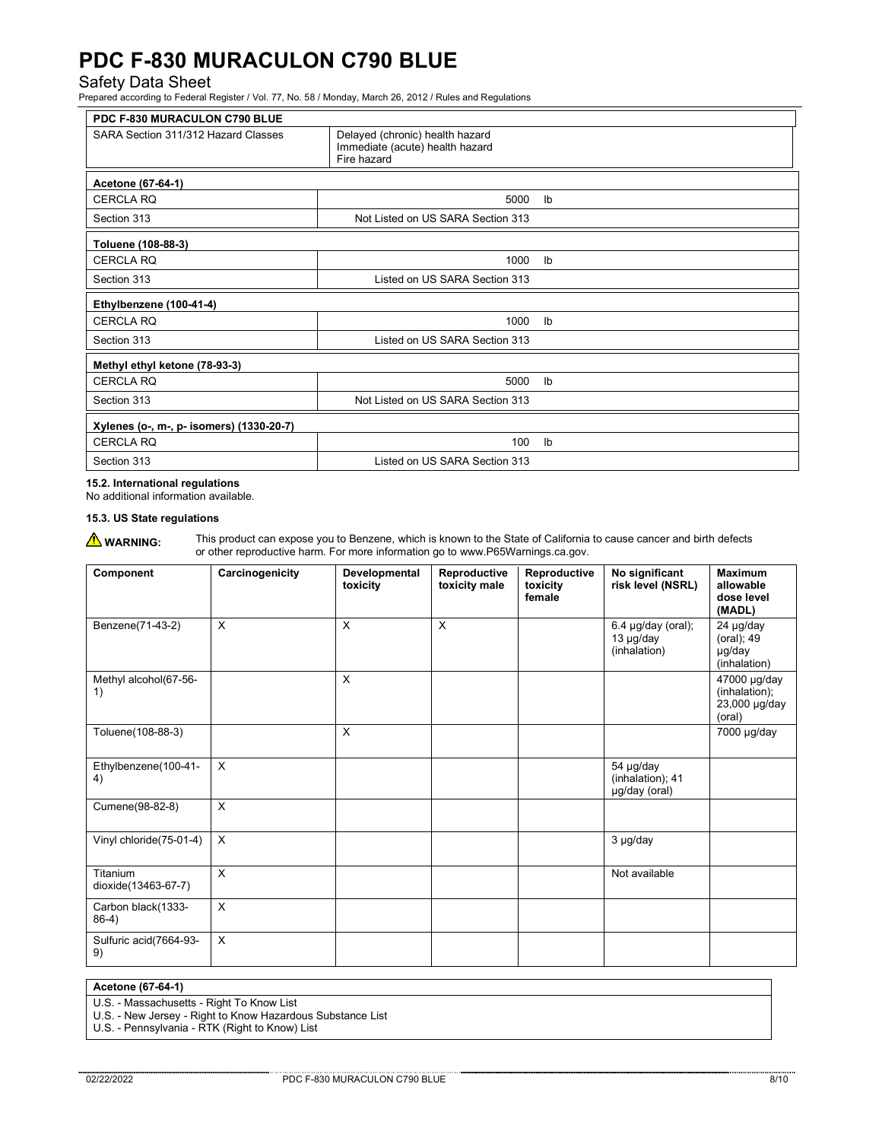Safety Data Sheet Prepared according to Federal Register / Vol. 77, No. 58 / Monday, March 26, 2012 / Rules and Regulations

| PDC F-830 MURACULON C790 BLUE            |                                                                                   |                           |  |
|------------------------------------------|-----------------------------------------------------------------------------------|---------------------------|--|
| SARA Section 311/312 Hazard Classes      | Delayed (chronic) health hazard<br>Immediate (acute) health hazard<br>Fire hazard |                           |  |
| Acetone (67-64-1)                        |                                                                                   |                           |  |
| <b>CERCLA RQ</b>                         | 5000                                                                              | $\mathsf{lb}$             |  |
| Section 313                              | Not Listed on US SARA Section 313                                                 |                           |  |
| Toluene (108-88-3)                       |                                                                                   |                           |  |
| <b>CERCLA RQ</b>                         | 1000                                                                              | Ib                        |  |
| Section 313                              | Listed on US SARA Section 313                                                     |                           |  |
| Ethylbenzene (100-41-4)                  |                                                                                   |                           |  |
| <b>CERCLA RQ</b>                         | 1000                                                                              | $\mathsf{I}^{\mathsf{b}}$ |  |
| Section 313                              | Listed on US SARA Section 313                                                     |                           |  |
| Methyl ethyl ketone (78-93-3)            |                                                                                   |                           |  |
| <b>CERCLA RQ</b>                         | 5000                                                                              | $\mathsf{I}^{\mathsf{b}}$ |  |
| Section 313                              | Not Listed on US SARA Section 313                                                 |                           |  |
| Xylenes (o-, m-, p- isomers) (1330-20-7) |                                                                                   |                           |  |
| <b>CERCLA RQ</b>                         | 100                                                                               | $\mathsf{I}^{\mathsf{b}}$ |  |
| Section 313                              | Listed on US SARA Section 313                                                     |                           |  |

# **15.2. International regulations**

No additional information available.

## **15.3. US State regulations**

**WARNING:** This product can expose you to Benzene, which is known to the State of California to cause cancer and birth defects or other reproductive harm. For more information go to www.P65Warnings.ca.gov.

| Component                       | Carcinogenicity | Developmental<br>toxicity | Reproductive<br>toxicity male | Reproductive<br>toxicity<br>female | No significant<br>risk level (NSRL)               | <b>Maximum</b><br>allowable<br>dose level<br>(MADL)      |
|---------------------------------|-----------------|---------------------------|-------------------------------|------------------------------------|---------------------------------------------------|----------------------------------------------------------|
| Benzene(71-43-2)                | X               | X                         | X                             |                                    | $6.4$ µg/day (oral);<br>13 µg/day<br>(inhalation) | 24 µg/day<br>(oral); 49<br>µg/day<br>(inhalation)        |
| Methyl alcohol(67-56-<br>1)     |                 | X                         |                               |                                    |                                                   | 47000 µg/day<br>(inhalation);<br>23,000 µg/day<br>(oral) |
| Toluene(108-88-3)               |                 | X                         |                               |                                    |                                                   | 7000 µg/day                                              |
| Ethylbenzene(100-41-<br>4)      | X               |                           |                               |                                    | 54 µg/day<br>(inhalation); 41<br>µg/day (oral)    |                                                          |
| Cumene(98-82-8)                 | $\mathsf{x}$    |                           |                               |                                    |                                                   |                                                          |
| Vinyl chloride(75-01-4)         | X               |                           |                               |                                    | 3 µg/day                                          |                                                          |
| Titanium<br>dioxide(13463-67-7) | X               |                           |                               |                                    | Not available                                     |                                                          |
| Carbon black(1333-<br>$86-4)$   | X               |                           |                               |                                    |                                                   |                                                          |
| Sulfuric acid(7664-93-<br>9)    | X               |                           |                               |                                    |                                                   |                                                          |

## **Acetone (67-64-1)**

U.S. - Massachusetts - Right To Know List

U.S. - New Jersey - Right to Know Hazardous Substance List

U.S. - Pennsylvania - RTK (Right to Know) List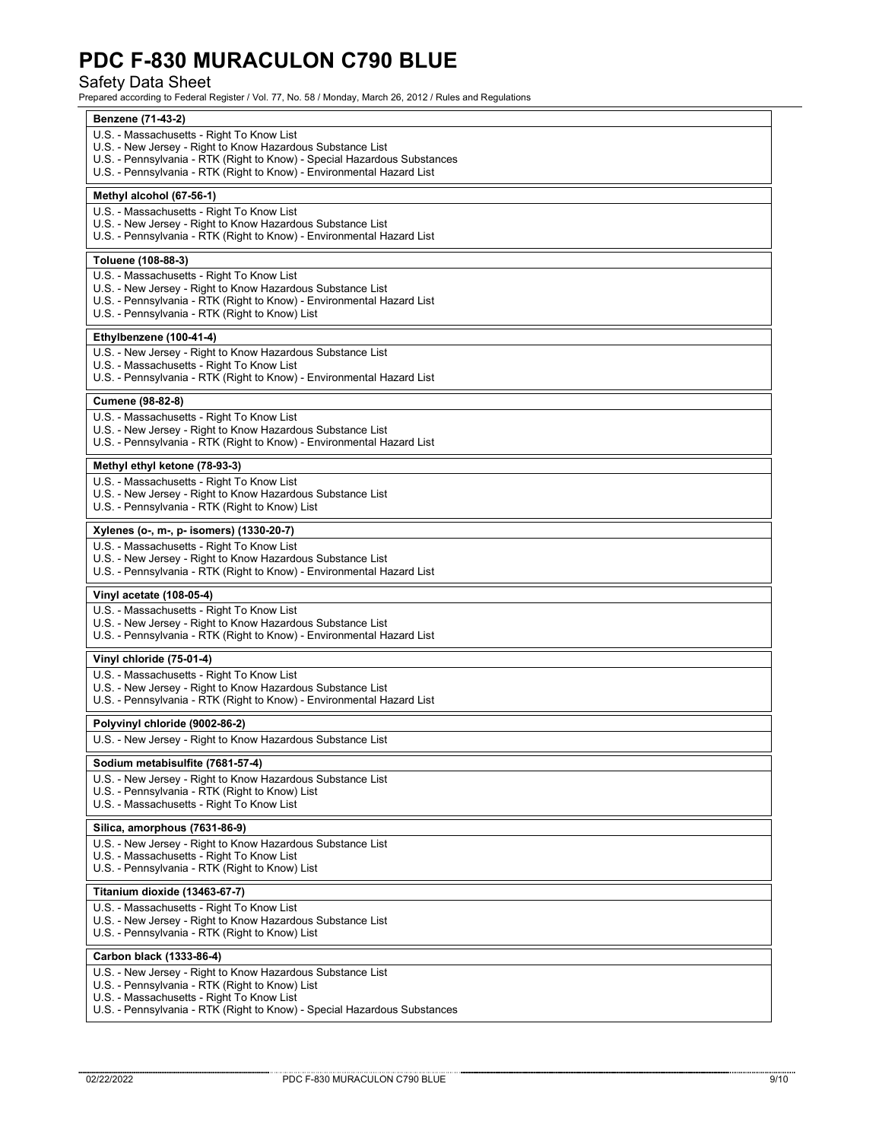Safety Data Sheet Prepared according to Federal Register / Vol. 77, No. 58 / Monday, March 26, 2012 / Rules and Regulations

| Benzene (71-43-2)                                                                                                                                 |
|---------------------------------------------------------------------------------------------------------------------------------------------------|
| U.S. - Massachusetts - Right To Know List                                                                                                         |
| U.S. - New Jersey - Right to Know Hazardous Substance List                                                                                        |
| U.S. - Pennsylvania - RTK (Right to Know) - Special Hazardous Substances<br>U.S. - Pennsylvania - RTK (Right to Know) - Environmental Hazard List |
|                                                                                                                                                   |
| Methyl alcohol (67-56-1)                                                                                                                          |
| U.S. - Massachusetts - Right To Know List                                                                                                         |
| U.S. - New Jersey - Right to Know Hazardous Substance List                                                                                        |
| U.S. - Pennsylvania - RTK (Right to Know) - Environmental Hazard List                                                                             |
| Toluene (108-88-3)                                                                                                                                |
| U.S. - Massachusetts - Right To Know List                                                                                                         |
| U.S. - New Jersey - Right to Know Hazardous Substance List                                                                                        |
| U.S. - Pennsylvania - RTK (Right to Know) - Environmental Hazard List<br>U.S. - Pennsylvania - RTK (Right to Know) List                           |
|                                                                                                                                                   |
| Ethylbenzene (100-41-4)                                                                                                                           |
| U.S. - New Jersey - Right to Know Hazardous Substance List                                                                                        |
| U.S. - Massachusetts - Right To Know List<br>U.S. - Pennsylvania - RTK (Right to Know) - Environmental Hazard List                                |
|                                                                                                                                                   |
| Cumene (98-82-8)                                                                                                                                  |
| U.S. - Massachusetts - Right To Know List                                                                                                         |
| U.S. - New Jersey - Right to Know Hazardous Substance List                                                                                        |
| U.S. - Pennsylvania - RTK (Right to Know) - Environmental Hazard List                                                                             |
| Methyl ethyl ketone (78-93-3)                                                                                                                     |
| U.S. - Massachusetts - Right To Know List                                                                                                         |
| U.S. - New Jersey - Right to Know Hazardous Substance List                                                                                        |
| U.S. - Pennsylvania - RTK (Right to Know) List                                                                                                    |
| Xylenes (o-, m-, p- isomers) (1330-20-7)                                                                                                          |
| U.S. - Massachusetts - Right To Know List                                                                                                         |
| U.S. - New Jersey - Right to Know Hazardous Substance List                                                                                        |
| U.S. - Pennsylvania - RTK (Right to Know) - Environmental Hazard List                                                                             |
| Vinyl acetate (108-05-4)                                                                                                                          |
| U.S. - Massachusetts - Right To Know List                                                                                                         |
| U.S. - New Jersey - Right to Know Hazardous Substance List                                                                                        |
| U.S. - Pennsylvania - RTK (Right to Know) - Environmental Hazard List                                                                             |
| Vinyl chloride (75-01-4)                                                                                                                          |
| U.S. - Massachusetts - Right To Know List                                                                                                         |
| U.S. - New Jersey - Right to Know Hazardous Substance List                                                                                        |
| U.S. - Pennsylvania - RTK (Right to Know) - Environmental Hazard List                                                                             |
| Polyvinyl chloride (9002-86-2)                                                                                                                    |
| U.S. - New Jersey - Right to Know Hazardous Substance List                                                                                        |
| Sodium metabisulfite (7681-57-4)                                                                                                                  |
| U.S. - New Jersey - Right to Know Hazardous Substance List                                                                                        |
| U.S. - Pennsylvania - RTK (Right to Know) List                                                                                                    |
| U.S. - Massachusetts - Right To Know List                                                                                                         |
| Silica, amorphous (7631-86-9)                                                                                                                     |
| U.S. - New Jersey - Right to Know Hazardous Substance List                                                                                        |
| U.S. - Massachusetts - Right To Know List                                                                                                         |
| U.S. - Pennsylvania - RTK (Right to Know) List                                                                                                    |
| Titanium dioxide (13463-67-7)                                                                                                                     |
| U.S. - Massachusetts - Right To Know List                                                                                                         |
| U.S. - New Jersey - Right to Know Hazardous Substance List                                                                                        |
| U.S. - Pennsylvania - RTK (Right to Know) List                                                                                                    |
| Carbon black (1333-86-4)                                                                                                                          |
| U.S. - New Jersey - Right to Know Hazardous Substance List                                                                                        |
| U.S. - Pennsylvania - RTK (Right to Know) List                                                                                                    |
| U.S. - Massachusetts - Right To Know List                                                                                                         |
| U.S. - Pennsylvania - RTK (Right to Know) - Special Hazardous Substances                                                                          |
|                                                                                                                                                   |